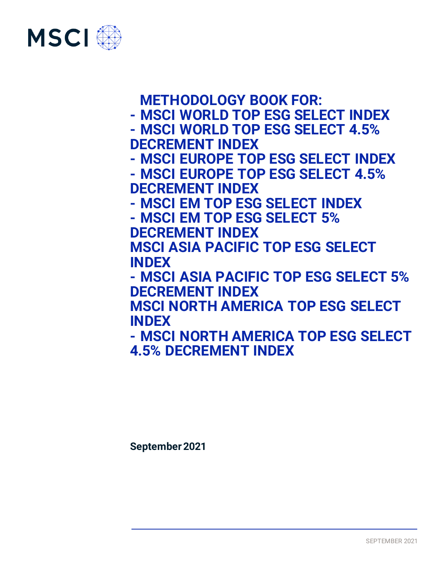

# **METHODOLOGY BOOK FOR:**

- **- MSCI WORLD TOP ESG SELECT INDEX**
- **- MSCI WORLD TOP ESG SELECT 4.5% DECREMENT INDEX**
	- **- MSCI EUROPE TOP ESG SELECT INDEX**
	- **- MSCI EUROPE TOP ESG SELECT 4.5% DECREMENT INDEX**
- **- MSCI EM TOP ESG SELECT INDEX**
- **- MSCI EM TOP ESG SELECT 5%**
- **DECREMENT INDEX**

**MSCI ASIA PACIFIC TOP ESG SELECT INDEX**

**- MSCI ASIA PACIFIC TOP ESG SELECT 5% DECREMENT INDEX**

**MSCI NORTH AMERICA TOP ESG SELECT INDEX**

**- MSCI NORTH AMERICA TOP ESG SELECT 4.5% DECREMENT INDEX**

**September2021**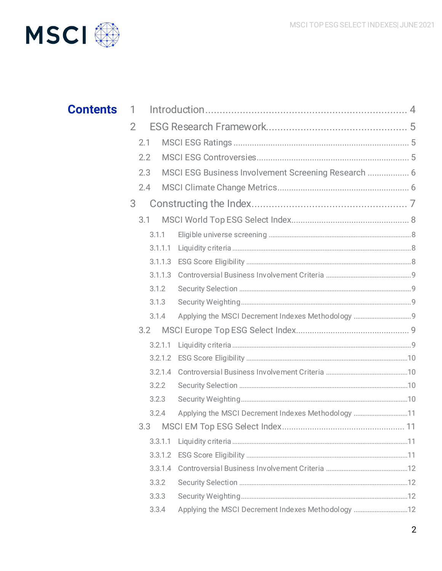

| <b>Contents</b> | -1.                                                         |
|-----------------|-------------------------------------------------------------|
|                 | $\overline{2}$                                              |
|                 | 2.1                                                         |
|                 | 2.2                                                         |
|                 | MSCI ESG Business Involvement Screening Research  6<br>2.3  |
|                 | 2.4                                                         |
|                 | 3                                                           |
|                 | 3.1                                                         |
|                 | 3.1.1                                                       |
|                 | 3.1.1.1                                                     |
|                 | 3.1.1.3                                                     |
|                 | 3.1.1.3                                                     |
|                 | 3.1.2                                                       |
|                 | 3.1.3                                                       |
|                 | 3.1.4                                                       |
|                 | 3.2                                                         |
|                 | 3.2.1.1                                                     |
|                 |                                                             |
|                 | 3.2.1.4                                                     |
|                 | 3.2.2                                                       |
|                 | 3.2.3                                                       |
|                 | Applying the MSCI Decrement Indexes Methodology 11<br>3.2.4 |
|                 |                                                             |
|                 | 3.3.1.1                                                     |
|                 | 3.3.1.2                                                     |
|                 | 3.3.1.4                                                     |
|                 | 3.3.2                                                       |
|                 | 3.3.3                                                       |
|                 | Applying the MSCI Decrement Indexes Methodology 12<br>3.3.4 |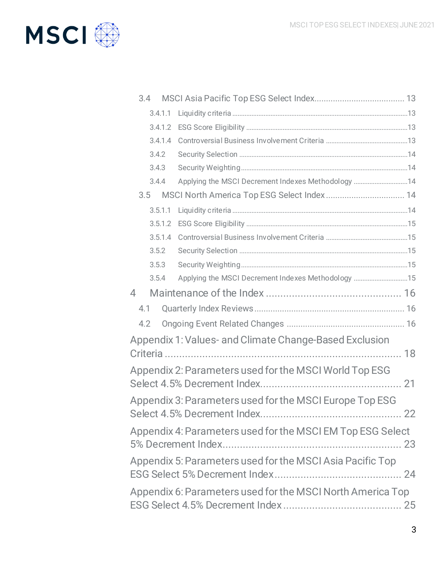

|                                                            | 3.4                                                        |                                                        |  |
|------------------------------------------------------------|------------------------------------------------------------|--------------------------------------------------------|--|
|                                                            | 3.4.1.1                                                    |                                                        |  |
|                                                            | 3.4.1.2                                                    |                                                        |  |
|                                                            | 3.4.1.4                                                    |                                                        |  |
|                                                            | 3.4.2                                                      |                                                        |  |
|                                                            | 3.4.3                                                      |                                                        |  |
|                                                            | 3.4.4                                                      | Applying the MSCI Decrement Indexes Methodology 14     |  |
|                                                            | 3.5                                                        | MSCI North America Top ESG Select Index 14             |  |
|                                                            | 3.5.1.1                                                    |                                                        |  |
|                                                            | 3.5.1.2                                                    |                                                        |  |
|                                                            | 3.5.1.4                                                    |                                                        |  |
|                                                            | 3.5.2                                                      |                                                        |  |
|                                                            | 3.5.3                                                      |                                                        |  |
|                                                            | 3.5.4                                                      | Applying the MSCI Decrement Indexes Methodology 15     |  |
| $\overline{4}$                                             |                                                            |                                                        |  |
| 4.1                                                        |                                                            |                                                        |  |
| 4.2                                                        |                                                            |                                                        |  |
|                                                            |                                                            | Appendix 1: Values- and Climate Change-Based Exclusion |  |
|                                                            |                                                            |                                                        |  |
| Appendix 2: Parameters used for the MSCI World Top ESG     |                                                            |                                                        |  |
|                                                            |                                                            |                                                        |  |
|                                                            |                                                            |                                                        |  |
| Appendix 3: Parameters used for the MSCI Europe Top ESG    |                                                            |                                                        |  |
|                                                            |                                                            |                                                        |  |
| Appendix 4: Parameters used for the MSCI EM Top ESG Select |                                                            |                                                        |  |
| Appendix 5: Parameters used for the MSCI Asia Pacific Top  |                                                            |                                                        |  |
|                                                            | Appendix 6: Parameters used for the MSCI North America Top |                                                        |  |
|                                                            |                                                            |                                                        |  |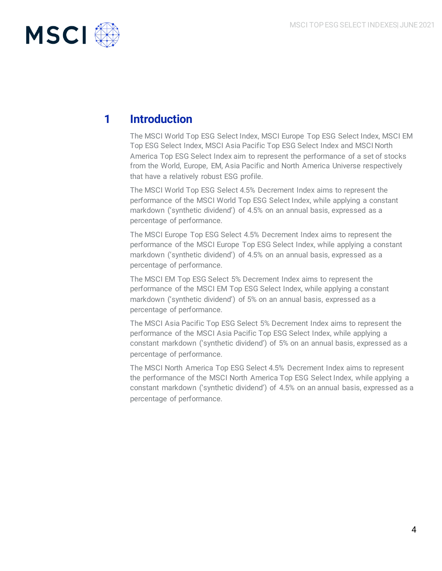

# **1 Introduction**

The MSCI World Top ESG Select Index, MSCI Europe Top ESG Select Index, MSCI EM Top ESG Select Index, MSCI Asia Pacific Top ESG Select Index and MSCI North America Top ESG Select Index aim to represent the performance of a set of stocks from the World, Europe, EM, Asia Pacific and North America Universe respectively that have a relatively robust ESG profile.

The MSCI World Top ESG Select 4.5% Decrement Index aims to represent the performance of the MSCI World Top ESG Select Index, while applying a constant markdown ('synthetic dividend') of 4.5% on an annual basis, expressed as a percentage of performance.

The MSCI Europe Top ESG Select 4.5% Decrement Index aims to represent the performance of the MSCI Europe Top ESG Select Index, while applying a constant markdown ('synthetic dividend') of 4.5% on an annual basis, expressed as a percentage of performance.

The MSCI EM Top ESG Select 5% Decrement Index aims to represent the performance of the MSCI EM Top ESG Select Index, while applying a constant markdown ('synthetic dividend') of 5% on an annual basis, expressed as a percentage of performance.

The MSCI Asia Pacific Top ESG Select 5% Decrement Index aims to represent the performance of the MSCI Asia Pacific Top ESG Select Index, while applying a constant markdown ('synthetic dividend') of 5% on an annual basis, expressed as a percentage of performance.

The MSCI North America Top ESG Select 4.5% Decrement Index aims to represent the performance of the MSCI North America Top ESG Select Index, while applying a constant markdown ('synthetic dividend') of 4.5% on an annual basis, expressed as a percentage of performance.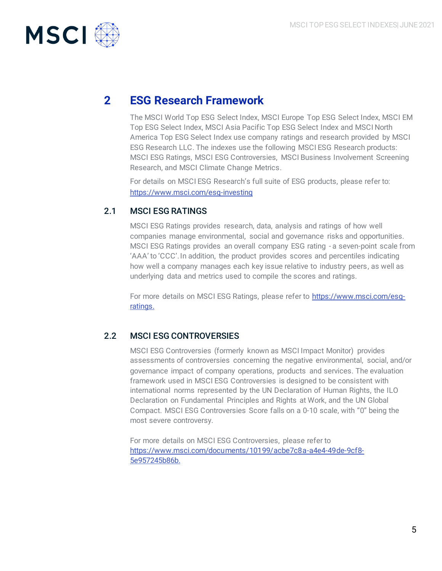

## **2 ESG Research Framework**

The MSCI World Top ESG Select Index, MSCI Europe Top ESG Select Index, MSCI EM Top ESG Select Index, MSCI Asia Pacific Top ESG Select Index and MSCI North America Top ESG Select Index use company ratings and research provided by MSCI ESG Research LLC. The indexes use the following MSCI ESG Research products: MSCI ESG Ratings, MSCI ESG Controversies, MSCI Business Involvement Screening Research, and MSCI Climate Change Metrics.

For details on MSCI ESG Research's full suite of ESG products, please refer to: <https://www.msci.com/esg-investing>

## 2.1 MSCI ESG RATINGS

MSCI ESG Ratings provides research, data, analysis and ratings of how well companies manage environmental, social and governance risks and opportunities. MSCI ESG Ratings provides an overall company ESG rating - a seven-point scale from 'AAA' to 'CCC'. In addition, the product provides scores and percentiles indicating how well a company manages each key issue relative to industry peers, as well as underlying data and metrics used to compile the scores and ratings.

For more details on MSCI ESG Ratings, please refer to [https://www.msci.com/esg](https://www.msci.com/esg-ratings)[ratings.](https://www.msci.com/esg-ratings)

## 2.2 MSCI ESG CONTROVERSIES

MSCI ESG Controversies (formerly known as MSCI Impact Monitor) provides assessments of controversies concerning the negative environmental, social, and/or governance impact of company operations, products and services. The evaluation framework used in MSCI ESG Controversies is designed to be consistent with international norms represented by the UN Declaration of Human Rights, the ILO Declaration on Fundamental Principles and Rights at Work, and the UN Global Compact. MSCI ESG Controversies Score falls on a 0-10 scale, with "0" being the most severe controversy.

For more details on MSCI ESG Controversies, please refer to [https://www.msci.com/documents/10199/acbe7c8a-a4e4-49de-9cf8-](https://www.msci.com/documents/10199/acbe7c8a-a4e4-49de-9cf8-5e957245b86b) [5e957245b86b.](https://www.msci.com/documents/10199/acbe7c8a-a4e4-49de-9cf8-5e957245b86b)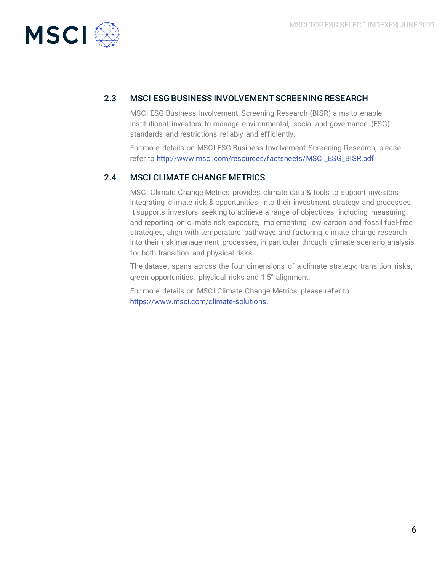

## 2.3 MSCI ESG BUSINESS INVOLVEMENT SCREENING RESEARCH

MSCI ESG Business Involvement Screening Research (BISR) aims to enable institutional investors to manage environmental, social and governance (ESG) standards and restrictions reliably and efficiently.

For more details on MSCI ESG Business Involvement Screening Research, please refer t[o http://www.msci.com/resources/factsheets/MSCI\\_ESG\\_BISR.pdf](http://www.msci.com/resources/factsheets/MSCI_ESG_BISR.pdf)

## 2.4 MSCI CLIMATE CHANGE METRICS

MSCI Climate Change Metrics provides climate data & tools to support investors integrating climate risk & opportunities into their investment strategy and processes. It supports investors seeking to achieve a range of objectives, including measuring and reporting on climate risk exposure, implementing low carbon and fossil fuel-free strategies, align with temperature pathways and factoring climate change research into their risk management processes, in particular through climate scenario analysis for both transition and physical risks.

The dataset spans across the four dimensions of a climate strategy: transition risks, green opportunities, physical risks and 1.5° alignment.

For more details on MSCI Climate Change Metrics, please refer to [https://www.msci.com/climate-solutions.](https://www.msci.com/climate-solutions)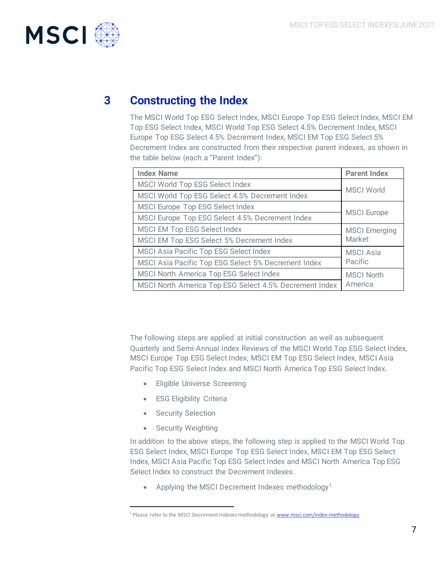

## **3 Constructing the Index**

The MSCI World Top ESG Select Index, MSCI Europe Top ESG Select Index, MSCI EM Top ESG Select Index, MSCI World Top ESG Select 4.5% Decrement Index, MSCI Europe Top ESG Select 4.5% Decrement Index, MSCI EM Top ESG Select 5% Decrement Index are constructed from their respective parent indexes, as shown in the table below (each a "Parent Index"):

| <b>Index Name</b>                                      | <b>Parent Index</b>  |  |
|--------------------------------------------------------|----------------------|--|
| MSCI World Top ESG Select Index                        | <b>MSCI World</b>    |  |
| MSCI World Top ESG Select 4.5% Decrement Index         |                      |  |
| MSCI Europe Top ESG Select Index                       |                      |  |
| MSCI Europe Top ESG Select 4.5% Decrement Index        | <b>MSCI</b> Europe   |  |
| MSCI EM Top ESG Select Index                           | <b>MSCI</b> Emerging |  |
| MSCI EM Top ESG Select 5% Decrement Index              | Market               |  |
| MSCI Asia Pacific Top ESG Select Index                 | <b>MSCI</b> Asia     |  |
| MSCI Asia Pacific Top ESG Select 5% Decrement Index    | Pacific              |  |
| MSCI North America Top ESG Select Index                | <b>MSCI North</b>    |  |
| MSCI North America Top ESG Select 4.5% Decrement Index | America              |  |

The following steps are applied at initial construction as well as subsequent Quarterly and Semi-Annual Index Reviews of the MSCI World Top ESG Select Index, MSCI Europe Top ESG Select Index, MSCI EM Top ESG Select Index, MSCI Asia Pacific Top ESG Select Index and MSCI North America Top ESG Select Index.

- Eligible Universe Screening
- ESG Eligibility Criteria
- Security Selection
- Security Weighting

In addition to the above steps, the following step is applied to the MSCI World Top ESG Select Index, MSCI Europe Top ESG Select Index, MSCI EM Top ESG Select Index, MSCI Asia Pacific Top ESG Select Index and MSCI North America Top ESG Select Index to construct the Decrement Indexes.

• Applying the MSCI Decrement Indexes methodology<sup>1</sup>

<sup>&</sup>lt;sup>1</sup> Please refer to the MSCI Decrement Indexes methodology a[t www.msci.com/index-methodology](http://www.msci.com/index-methodology)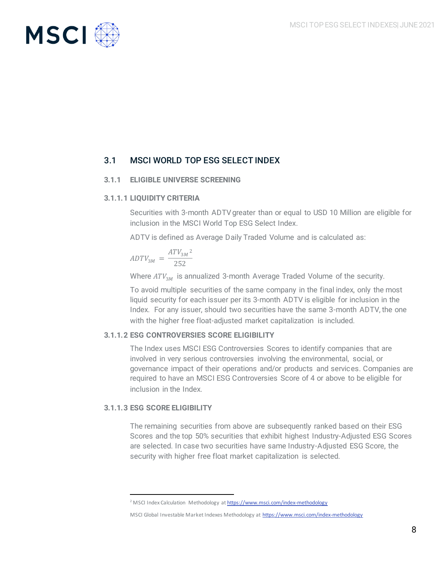

## 3.1 MSCI WORLD TOP ESG SELECT INDEX

## **3.1.1 ELIGIBLE UNIVERSE SCREENING**

## **3.1.1.1 LIQUIDITY CRITERIA**

Securities with 3-month ADTV greater than or equal to USD 10 Million are eligible for inclusion in the MSCI World Top ESG Select Index.

ADTV is defined as Average Daily Traded Volume and is calculated as:

$$
ADTV_{3M} = \frac{ATV_{3M}^2}{252}
$$

Where  $ATV_{3M}$  is annualized 3-month Average Traded Volume of the security.

To avoid multiple securities of the same company in the final index, only the most liquid security for each issuer per its 3-month ADTV is eligible for inclusion in the Index. For any issuer, should two securities have the same 3-month ADTV, the one with the higher free float-adjusted market capitalization is included.

## **3.1.1.2 ESG CONTROVERSIES SCORE ELIGIBILITY**

The Index uses MSCI ESG Controversies Scores to identify companies that are involved in very serious controversies involving the environmental, social, or governance impact of their operations and/or products and services. Companies are required to have an MSCI ESG Controversies Score of 4 or above to be eligible for inclusion in the Index.

### **3.1.1.3 ESG SCORE ELIGIBILITY**

The remaining securities from above are subsequently ranked based on their ESG Scores and the top 50% securities that exhibit highest Industry-Adjusted ESG Scores are selected. In case two securities have same Industry-Adjusted ESG Score, the security with higher free float market capitalization is selected.

<sup>&</sup>lt;sup>2</sup> MSCI Index Calculation Methodology a[t https://www.msci.com/index-methodology](https://www.msci.com/index-methodology)

MSCI Global Investable Market Indexes Methodology a[t https://www.msci.com/index-methodology](https://www.msci.com/index-methodology)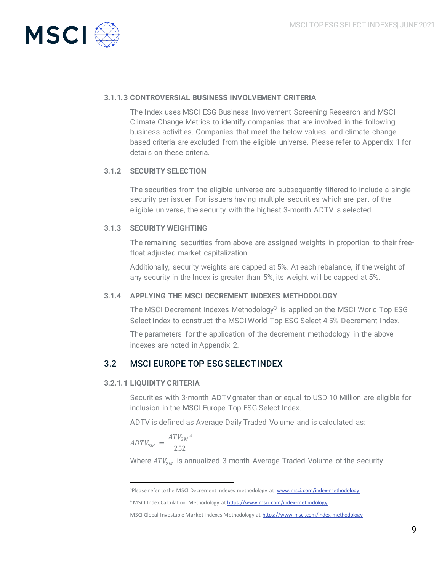

## **3.1.1.3 CONTROVERSIAL BUSINESS INVOLVEMENT CRITERIA**

The Index uses MSCI ESG Business Involvement Screening Research and MSCI Climate Change Metrics to identify companies that are involved in the following business activities. Companies that meet the below values- and climate changebased criteria are excluded from the eligible universe. Please refer to Appendix 1 for details on these criteria.

### **3.1.2 SECURITY SELECTION**

The securities from the eligible universe are subsequently filtered to include a single security per issuer. For issuers having multiple securities which are part of the eligible universe, the security with the highest 3-month ADTV is selected.

## **3.1.3 SECURITY WEIGHTING**

The remaining securities from above are assigned weights in proportion to their freefloat adjusted market capitalization.

Additionally, security weights are capped at 5%. At each rebalance, if the weight of any security in the Index is greater than 5%, its weight will be capped at 5%.

### **3.1.4 APPLYING THE MSCI DECREMENT INDEXES METHODOLOGY**

The MSCI Decrement Indexes Methodology<sup>3</sup> is applied on the MSCI World Top ESG Select Index to construct the MSCI World Top ESG Select 4.5% Decrement Index.

The parameters for the application of the decrement methodology in the above indexes are noted in Appendix 2.

## 3.2 MSCI EUROPE TOP ESG SELECT INDEX

### **3.2.1.1 LIQUIDITY CRITERIA**

Securities with 3-month ADTV greater than or equal to USD 10 Million are eligible for inclusion in the MSCI Europe Top ESG Select Index.

ADTV is defined as Average Daily Traded Volume and is calculated as:

$$
ADTV_{3M} = \frac{ATV_{3M}^4}{252}
$$

Where  $ATV_{3M}$  is annualized 3-month Average Traded Volume of the security.

<sup>&</sup>lt;sup>3</sup>Please refer to the MSCI Decrement Indexes methodology at [www.msci.com/index-methodology](http://www.msci.com/index-methodology)

<sup>4</sup> MSCI Index Calculation Methodology a[t https://www.msci.com/index-methodology](https://www.msci.com/index-methodology)

MSCI Global Investable Market Indexes Methodology a[t https://www.msci.com/index-methodology](https://www.msci.com/index-methodology)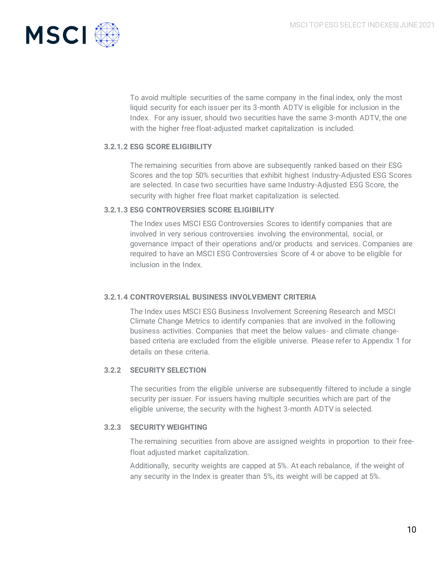

To avoid multiple securities of the same company in the final index, only the most liquid security for each issuer per its 3-month ADTV is eligible for inclusion in the Index. For any issuer, should two securities have the same 3-month ADTV, the one with the higher free float-adjusted market capitalization is included.

## **3.2.1.2 ESG SCORE ELIGIBILITY**

The remaining securities from above are subsequently ranked based on their ESG Scores and the top 50% securities that exhibit highest Industry-Adjusted ESG Scores are selected. In case two securities have same Industry-Adjusted ESG Score, the security with higher free float market capitalization is selected.

## **3.2.1.3 ESG CONTROVERSIES SCORE ELIGIBILITY**

The Index uses MSCI ESG Controversies Scores to identify companies that are involved in very serious controversies involving the environmental, social, or governance impact of their operations and/or products and services. Companies are required to have an MSCI ESG Controversies Score of 4 or above to be eligible for inclusion in the Index.

### **3.2.1.4 CONTROVERSIAL BUSINESS INVOLVEMENT CRITERIA**

The Index uses MSCI ESG Business Involvement Screening Research and MSCI Climate Change Metrics to identify companies that are involved in the following business activities. Companies that meet the below values- and climate changebased criteria are excluded from the eligible universe. Please refer to Appendix 1 for details on these criteria.

### **3.2.2 SECURITY SELECTION**

The securities from the eligible universe are subsequently filtered to include a single security per issuer. For issuers having multiple securities which are part of the eligible universe, the security with the highest 3-month ADTV is selected.

### **3.2.3 SECURITY WEIGHTING**

The remaining securities from above are assigned weights in proportion to their freefloat adjusted market capitalization.

Additionally, security weights are capped at 5%. At each rebalance, if the weight of any security in the Index is greater than 5%, its weight will be capped at 5%.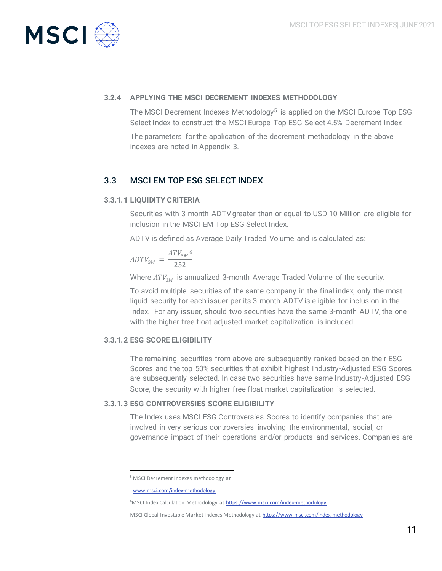

## **3.2.4 APPLYING THE MSCI DECREMENT INDEXES METHODOLOGY**

The MSCI Decrement Indexes Methodology<sup>5</sup> is applied on the MSCI Europe Top ESG Select Index to construct the MSCI Europe Top ESG Select 4.5% Decrement Index The parameters for the application of the decrement methodology in the above indexes are noted in Appendix 3.

## 3.3 MSCI EM TOP ESG SELECT INDEX

## **3.3.1.1 LIQUIDITY CRITERIA**

Securities with 3-month ADTV greater than or equal to USD 10 Million are eligible for inclusion in the MSCI EM Top ESG Select Index.

ADTV is defined as Average Daily Traded Volume and is calculated as:

$$
ADTV_{3M} = \frac{ATV_{3M}^6}{252}
$$

Where  $ATV_{3M}$  is annualized 3-month Average Traded Volume of the security.

To avoid multiple securities of the same company in the final index, only the most liquid security for each issuer per its 3-month ADTV is eligible for inclusion in the Index. For any issuer, should two securities have the same 3-month ADTV, the one with the higher free float-adjusted market capitalization is included.

### **3.3.1.2 ESG SCORE ELIGIBILITY**

The remaining securities from above are subsequently ranked based on their ESG Scores and the top 50% securities that exhibit highest Industry-Adjusted ESG Scores are subsequently selected. In case two securities have same Industry-Adjusted ESG Score, the security with higher free float market capitalization is selected.

## **3.3.1.3 ESG CONTROVERSIES SCORE ELIGIBILITY**

The Index uses MSCI ESG Controversies Scores to identify companies that are involved in very serious controversies involving the environmental, social, or governance impact of their operations and/or products and services. Companies are

<sup>5</sup> MSCI Decrement Indexes methodology at

[www.msci.com/index-methodology](http://www.msci.com/index-methodology)

<sup>&</sup>lt;sup>6</sup>MSCI Index Calculation Methodology a[t https://www.msci.com/index-methodology](https://www.msci.com/index-methodology)

MSCI Global Investable Market Indexes Methodology a[t https://www.msci.com/index-methodology](https://www.msci.com/index-methodology)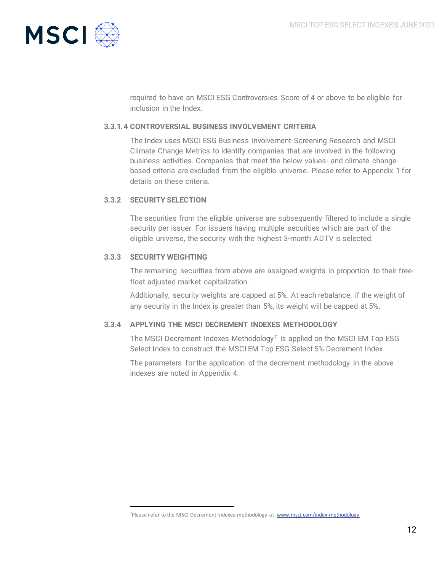

required to have an MSCI ESG Controversies Score of 4 or above to be eligible for inclusion in the Index.

### **3.3.1.4 CONTROVERSIAL BUSINESS INVOLVEMENT CRITERIA**

The Index uses MSCI ESG Business Involvement Screening Research and MSCI Climate Change Metrics to identify companies that are involved in the following business activities. Companies that meet the below values- and climate changebased criteria are excluded from the eligible universe. Please refer to Appendix 1 for details on these criteria.

## **3.3.2 SECURITY SELECTION**

The securities from the eligible universe are subsequently filtered to include a single security per issuer. For issuers having multiple securities which are part of the eligible universe, the security with the highest 3-month ADTV is selected.

## **3.3.3 SECURITY WEIGHTING**

The remaining securities from above are assigned weights in proportion to their freefloat adjusted market capitalization.

Additionally, security weights are capped at 5%. At each rebalance, if the weight of any security in the Index is greater than 5%, its weight will be capped at 5%.

## **3.3.4 APPLYING THE MSCI DECREMENT INDEXES METHODOLOGY**

The MSCI Decrement Indexes Methodology<sup>7</sup> is applied on the MSCI EM Top ESG Select Index to construct the MSCI EM Top ESG Select 5% Decrement Index

The parameters for the application of the decrement methodology in the above indexes are noted in Appendix 4.

<sup>&</sup>lt;sup>7</sup>Please refer to the MSCI Decrement Indexes methodology at [www.msci.com/index-methodology](http://www.msci.com/index-methodology)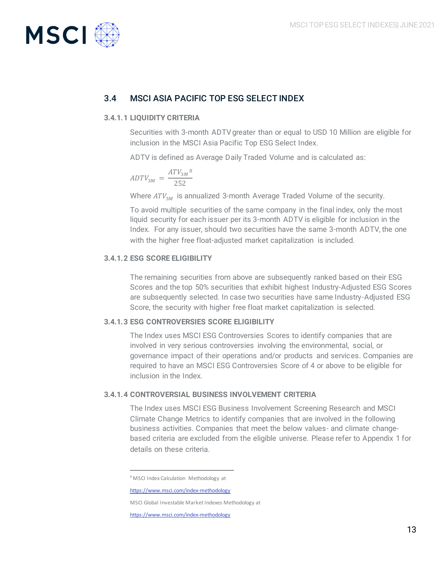

## 3.4 MSCI ASIA PACIFIC TOP ESG SELECT INDEX

## **3.4.1.1 LIQUIDITY CRITERIA**

Securities with 3-month ADTV greater than or equal to USD 10 Million are eligible for inclusion in the MSCI Asia Pacific Top ESG Select Index.

ADTV is defined as Average Daily Traded Volume and is calculated as:

$$
ADTV_{3M} = \frac{ATV_{3M}^{8}}{252}
$$

Where  $ATV_{3M}$  is annualized 3-month Average Traded Volume of the security.

To avoid multiple securities of the same company in the final index, only the most liquid security for each issuer per its 3-month ADTV is eligible for inclusion in the Index. For any issuer, should two securities have the same 3-month ADTV, the one with the higher free float-adjusted market capitalization is included.

## **3.4.1.2 ESG SCORE ELIGIBILITY**

The remaining securities from above are subsequently ranked based on their ESG Scores and the top 50% securities that exhibit highest Industry-Adjusted ESG Scores are subsequently selected. In case two securities have same Industry-Adjusted ESG Score, the security with higher free float market capitalization is selected.

### **3.4.1.3 ESG CONTROVERSIES SCORE ELIGIBILITY**

The Index uses MSCI ESG Controversies Scores to identify companies that are involved in very serious controversies involving the environmental, social, or governance impact of their operations and/or products and services. Companies are required to have an MSCI ESG Controversies Score of 4 or above to be eligible for inclusion in the Index.

### **3.4.1.4 CONTROVERSIAL BUSINESS INVOLVEMENT CRITERIA**

The Index uses MSCI ESG Business Involvement Screening Research and MSCI Climate Change Metrics to identify companies that are involved in the following business activities. Companies that meet the below values- and climate changebased criteria are excluded from the eligible universe. Please refer to Appendix 1 for details on these criteria.

<sup>8</sup> MSCI Index Calculation Methodology at

<https://www.msci.com/index-methodology>

MSCI Global Investable Market Indexes Methodology at

<https://www.msci.com/index-methodology>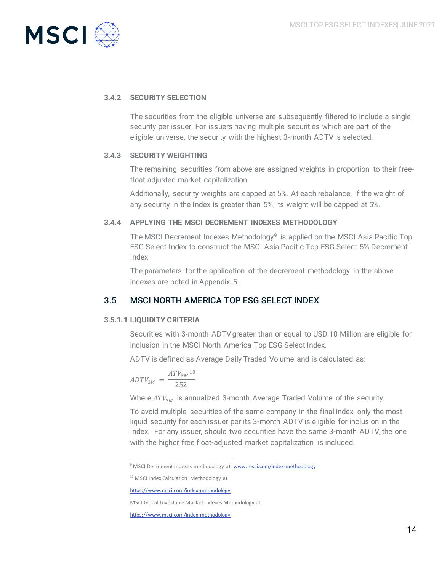

## **3.4.2 SECURITY SELECTION**

The securities from the eligible universe are subsequently filtered to include a single security per issuer. For issuers having multiple securities which are part of the eligible universe, the security with the highest 3-month ADTV is selected.

## **3.4.3 SECURITY WEIGHTING**

The remaining securities from above are assigned weights in proportion to their freefloat adjusted market capitalization.

Additionally, security weights are capped at 5%. At each rebalance, if the weight of any security in the Index is greater than 5%, its weight will be capped at 5%.

## **3.4.4 APPLYING THE MSCI DECREMENT INDEXES METHODOLOGY**

The MSCI Decrement Indexes Methodology<sup>9</sup> is applied on the MSCI Asia Pacific Top ESG Select Index to construct the MSCI Asia Pacific Top ESG Select 5% Decrement Index

The parameters for the application of the decrement methodology in the above indexes are noted in Appendix 5.

## 3.5 MSCI NORTH AMERICA TOP ESG SELECT INDEX

## **3.5.1.1 LIQUIDITY CRITERIA**

Securities with 3-month ADTV greater than or equal to USD 10 Million are eligible for inclusion in the MSCI North America Top ESG Select Index.

ADTV is defined as Average Daily Traded Volume and is calculated as:

$$
ADTV_{3M} = \frac{ATV_{3M}^{10}}{252}
$$

Where  $ATV_{3M}$  is annualized 3-month Average Traded Volume of the security.

To avoid multiple securities of the same company in the final index, only the most liquid security for each issuer per its 3-month ADTV is eligible for inclusion in the Index. For any issuer, should two securities have the same 3-month ADTV, the one with the higher free float-adjusted market capitalization is included.

<sup>&</sup>lt;sup>9</sup> MSCI Decrement Indexes methodology at [www.msci.com/index-methodology](http://www.msci.com/index-methodology)

<sup>&</sup>lt;sup>10</sup> MSCI Index Calculation Methodology at

<https://www.msci.com/index-methodology>

MSCI Global Investable Market Indexes Methodology at

<https://www.msci.com/index-methodology>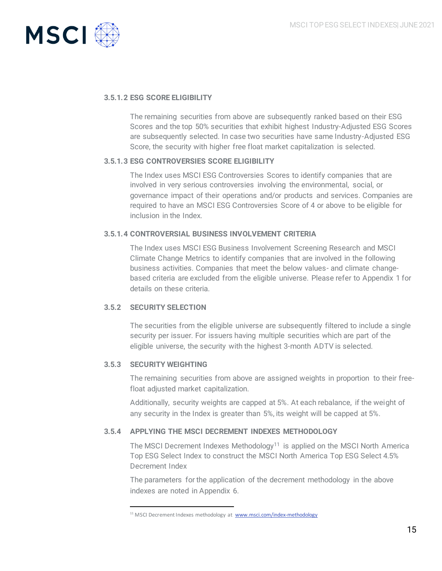

## **3.5.1.2 ESG SCORE ELIGIBILITY**

The remaining securities from above are subsequently ranked based on their ESG Scores and the top 50% securities that exhibit highest Industry-Adjusted ESG Scores are subsequently selected. In case two securities have same Industry-Adjusted ESG Score, the security with higher free float market capitalization is selected.

### **3.5.1.3 ESG CONTROVERSIES SCORE ELIGIBILITY**

The Index uses MSCI ESG Controversies Scores to identify companies that are involved in very serious controversies involving the environmental, social, or governance impact of their operations and/or products and services. Companies are required to have an MSCI ESG Controversies Score of 4 or above to be eligible for inclusion in the Index.

### **3.5.1.4 CONTROVERSIAL BUSINESS INVOLVEMENT CRITERIA**

The Index uses MSCI ESG Business Involvement Screening Research and MSCI Climate Change Metrics to identify companies that are involved in the following business activities. Companies that meet the below values- and climate changebased criteria are excluded from the eligible universe. Please refer to Appendix 1 for details on these criteria.

### **3.5.2 SECURITY SELECTION**

The securities from the eligible universe are subsequently filtered to include a single security per issuer. For issuers having multiple securities which are part of the eligible universe, the security with the highest 3-month ADTV is selected.

#### **3.5.3 SECURITY WEIGHTING**

The remaining securities from above are assigned weights in proportion to their freefloat adjusted market capitalization.

Additionally, security weights are capped at 5%. At each rebalance, if the weight of any security in the Index is greater than 5%, its weight will be capped at 5%.

### **3.5.4 APPLYING THE MSCI DECREMENT INDEXES METHODOLOGY**

The MSCI Decrement Indexes Methodology<sup>11</sup> is applied on the MSCI North America Top ESG Select Index to construct the MSCI North America Top ESG Select 4.5% Decrement Index

The parameters for the application of the decrement methodology in the above indexes are noted in Appendix 6.

<sup>&</sup>lt;sup>11</sup> MSCI Decrement Indexes methodology at [www.msci.com/index-methodology](http://www.msci.com/index-methodology)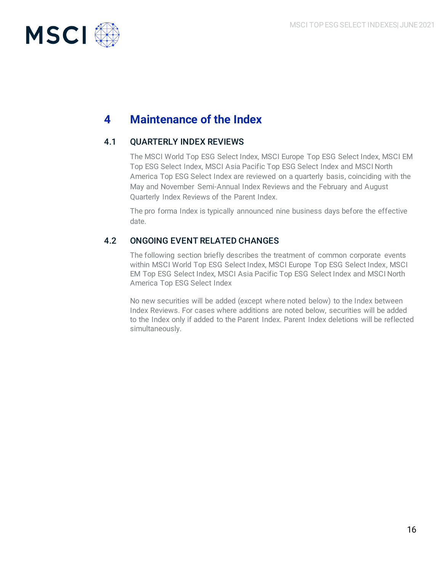

# **4 Maintenance of the Index**

## 4.1 QUARTERLY INDEX REVIEWS

The MSCI World Top ESG Select Index, MSCI Europe Top ESG Select Index, MSCI EM Top ESG Select Index, MSCI Asia Pacific Top ESG Select Index and MSCI North America Top ESG Select Index are reviewed on a quarterly basis, coinciding with the May and November Semi-Annual Index Reviews and the February and August Quarterly Index Reviews of the Parent Index.

The pro forma Index is typically announced nine business days before the effective date.

## 4.2 ONGOING EVENT RELATED CHANGES

The following section briefly describes the treatment of common corporate events within MSCI World Top ESG Select Index, MSCI Europe Top ESG Select Index, MSCI EM Top ESG Select Index, MSCI Asia Pacific Top ESG Select Index and MSCI North America Top ESG Select Index

No new securities will be added (except where noted below) to the Index between Index Reviews. For cases where additions are noted below, securities will be added to the Index only if added to the Parent Index. Parent Index deletions will be reflected simultaneously.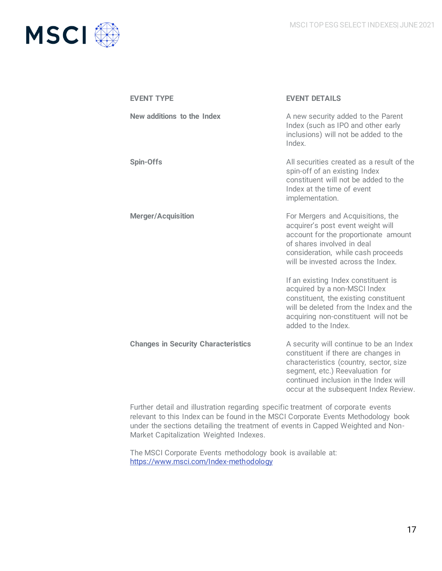

| <b>EVENT TYPE</b>                          | <b>EVENT DETAILS</b>                                                                                                                                                                                                                          |
|--------------------------------------------|-----------------------------------------------------------------------------------------------------------------------------------------------------------------------------------------------------------------------------------------------|
| New additions to the Index                 | A new security added to the Parent<br>Index (such as IPO and other early<br>inclusions) will not be added to the<br>Index.                                                                                                                    |
| <b>Spin-Offs</b>                           | All securities created as a result of the<br>spin-off of an existing Index<br>constituent will not be added to the<br>Index at the time of event<br>implementation.                                                                           |
| <b>Merger/Acquisition</b>                  | For Mergers and Acquisitions, the<br>acquirer's post event weight will<br>account for the proportionate amount<br>of shares involved in deal<br>consideration, while cash proceeds<br>will be invested across the Index.                      |
|                                            | If an existing Index constituent is<br>acquired by a non-MSCI Index<br>constituent, the existing constituent<br>will be deleted from the Index and the<br>acquiring non-constituent will not be<br>added to the Index                         |
| <b>Changes in Security Characteristics</b> | A security will continue to be an Index<br>constituent if there are changes in<br>characteristics (country, sector, size<br>segment, etc.) Reevaluation for<br>continued inclusion in the Index will<br>occur at the subsequent Index Review. |

Further detail and illustration regarding specific treatment of corporate events relevant to this Index can be found in the MSCI Corporate Events Methodology book under the sections detailing the treatment of events in Capped Weighted and Non-Market Capitalization Weighted Indexes.

The MSCI Corporate Events methodology book is available at: <https://www.msci.com/Index-methodology>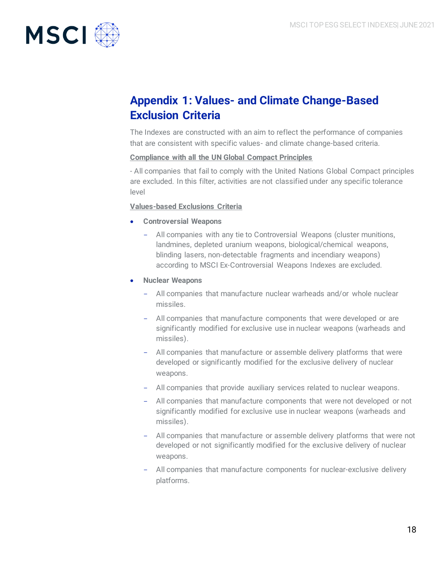

# **Appendix 1: Values- and Climate Change-Based Exclusion Criteria**

The Indexes are constructed with an aim to reflect the performance of companies that are consistent with specific values- and climate change-based criteria.

### **Compliance with all the UN Global Compact Principles**

- All companies that fail to comply with the United Nations Global Compact principles are excluded. In this filter, activities are not classified under any specific tolerance level

## **Values-based Exclusions Criteria**

- **Controversial Weapons**
	- All companies with any tie to Controversial Weapons (cluster munitions, landmines, depleted uranium weapons, biological/chemical weapons, blinding lasers, non-detectable fragments and incendiary weapons) according to MSCI Ex-Controversial Weapons Indexes are excluded.
- **Nuclear Weapons**
	- All companies that manufacture nuclear warheads and/or whole nuclear missiles.
	- All companies that manufacture components that were developed or are significantly modified for exclusive use in nuclear weapons (warheads and missiles).
	- All companies that manufacture or assemble delivery platforms that were developed or significantly modified for the exclusive delivery of nuclear weapons.
	- All companies that provide auxiliary services related to nuclear weapons.
	- All companies that manufacture components that were not developed or not significantly modified for exclusive use in nuclear weapons (warheads and missiles).
	- All companies that manufacture or assemble delivery platforms that were not developed or not significantly modified for the exclusive delivery of nuclear weapons.
	- All companies that manufacture components for nuclear-exclusive delivery platforms.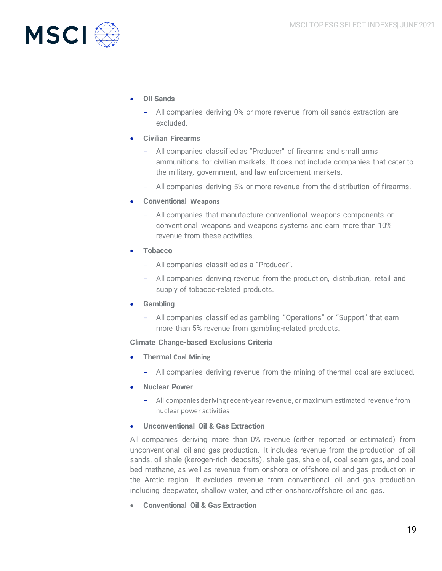

- **Oil Sands**
	- All companies deriving 0% or more revenue from oil sands extraction are excluded.
- **Civilian Firearms**
	- All companies classified as "Producer" of firearms and small arms ammunitions for civilian markets. It does not include companies that cater to the military, government, and law enforcement markets.
	- All companies deriving 5% or more revenue from the distribution of firearms.
- **Conventional Weapons**
	- All companies that manufacture conventional weapons components or conventional weapons and weapons systems and earn more than 10% revenue from these activities.
- **Tobacco**
	- All companies classified as a "Producer".
	- All companies deriving revenue from the production, distribution, retail and supply of tobacco-related products.
- **Gambling**
	- All companies classified as gambling "Operations" or "Support" that earn more than 5% revenue from gambling-related products.

## **Climate Change-based Exclusions Criteria**

- **Thermal Coal Mining**
	- All companies deriving revenue from the mining of thermal coal are excluded.
- **Nuclear Power**
	- All companies deriving recent-year revenue, or maximum estimated revenue from nuclear power activities
- **Unconventional Oil & Gas Extraction**

All companies deriving more than 0% revenue (either reported or estimated) from unconventional oil and gas production. It includes revenue from the production of oil sands, oil shale (kerogen-rich deposits), shale gas, shale oil, coal seam gas, and coal bed methane, as well as revenue from onshore or offshore oil and gas production in the Arctic region. It excludes revenue from conventional oil and gas production including deepwater, shallow water, and other onshore/offshore oil and gas.

• **Conventional Oil & Gas Extraction**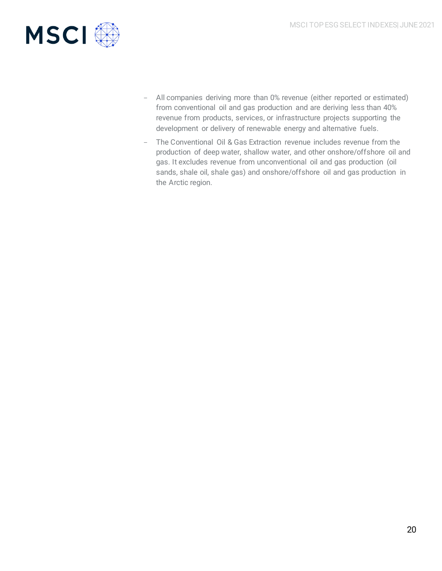

- All companies deriving more than 0% revenue (either reported or estimated) from conventional oil and gas production and are deriving less than 40% revenue from products, services, or infrastructure projects supporting the development or delivery of renewable energy and alternative fuels.
- The Conventional Oil & Gas Extraction revenue includes revenue from the production of deep water, shallow water, and other onshore/offshore oil and gas. It excludes revenue from unconventional oil and gas production (oil sands, shale oil, shale gas) and onshore/offshore oil and gas production in the Arctic region.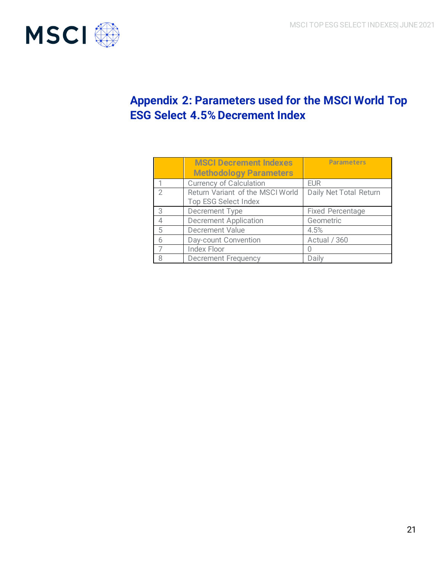

# **Appendix 2: Parameters used for the MSCI World Top ESG Select 4.5% Decrement Index**

|   | <b>MSCI Decrement Indexes</b><br><b>Methodology Parameters</b> | <b>Parameters</b>       |
|---|----------------------------------------------------------------|-------------------------|
|   | <b>Currency of Calculation</b>                                 | <b>EUR</b>              |
|   | Return Variant of the MSCI World<br>Top ESG Select Index       | Daily Net Total Return  |
| З | Decrement Type                                                 | <b>Fixed Percentage</b> |
| 4 | <b>Decrement Application</b>                                   | Geometric               |
| 5 | Decrement Value                                                | 4.5%                    |
| 6 | Day-count Convention                                           | Actual / 360            |
|   | <b>Index Floor</b>                                             |                         |
|   | <b>Decrement Frequency</b>                                     | Daily                   |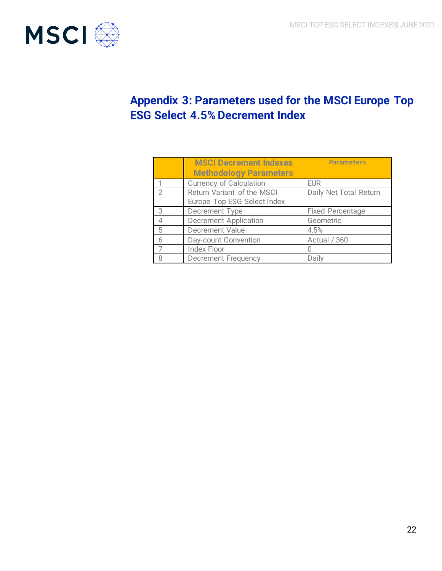

# **Appendix 3: Parameters used for the MSCI Europe Top ESG Select 4.5% Decrement Index**

|               | <b>MSCI Decrement Indexes</b><br><b>Methodology Parameters</b> | <b>Parameters</b>       |
|---------------|----------------------------------------------------------------|-------------------------|
|               | <b>Currency of Calculation</b>                                 | <b>EUR</b>              |
| $\mathcal{D}$ | Return Variant of the MSCI<br>Europe Top ESG Select Index      | Daily Net Total Return  |
| 3             | Decrement Type                                                 | <b>Fixed Percentage</b> |
|               | <b>Decrement Application</b>                                   | Geometric               |
| 5             | <b>Decrement Value</b>                                         | 4.5%                    |
| 6             | Day-count Convention                                           | Actual / 360            |
|               | <b>Index Floor</b>                                             |                         |
|               | <b>Decrement Frequency</b>                                     | Daily                   |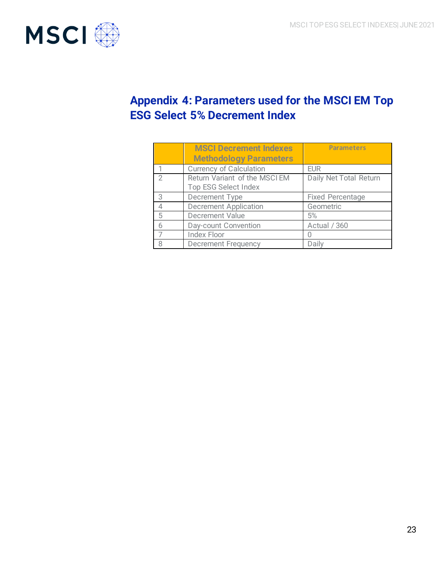

# **Appendix 4: Parameters used for the MSCI EM Top ESG Select 5% Decrement Index**

|                | <b>MSCI Decrement Indexes</b>  | <b>Parameters</b>       |
|----------------|--------------------------------|-------------------------|
|                | <b>Methodology Parameters</b>  |                         |
|                | <b>Currency of Calculation</b> | <b>EUR</b>              |
| $\mathfrak{D}$ | Return Variant of the MSCI EM  | Daily Net Total Return  |
|                | Top ESG Select Index           |                         |
| 3              | Decrement Type                 | <b>Fixed Percentage</b> |
| Δ              | <b>Decrement Application</b>   | Geometric               |
| 5              | Decrement Value                | 5%                      |
| 6              | Day-count Convention           | Actual / 360            |
|                | <b>Index Floor</b>             |                         |
| Я              | <b>Decrement Frequency</b>     | Daily                   |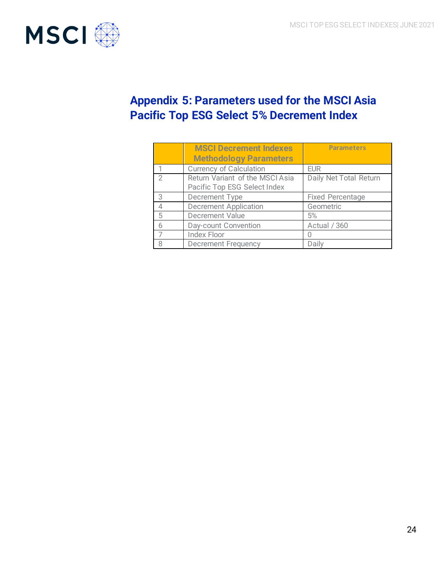

# **Appendix 5: Parameters used for the MSCI Asia Pacific Top ESG Select 5% Decrement Index**

|   | <b>MSCI Decrement Indexes</b><br><b>Methodology Parameters</b>  | <b>Parameters</b>       |
|---|-----------------------------------------------------------------|-------------------------|
|   | <b>Currency of Calculation</b>                                  | <b>EUR</b>              |
| 2 | Return Variant of the MSCI Asia<br>Pacific Top ESG Select Index | Daily Net Total Return  |
| 3 | Decrement Type                                                  | <b>Fixed Percentage</b> |
| △ | <b>Decrement Application</b>                                    | Geometric               |
| 5 | <b>Decrement Value</b>                                          | 5%                      |
| 6 | Day-count Convention                                            | Actual / 360            |
|   | <b>Index Floor</b>                                              |                         |
| 8 | <b>Decrement Frequency</b>                                      | Daily                   |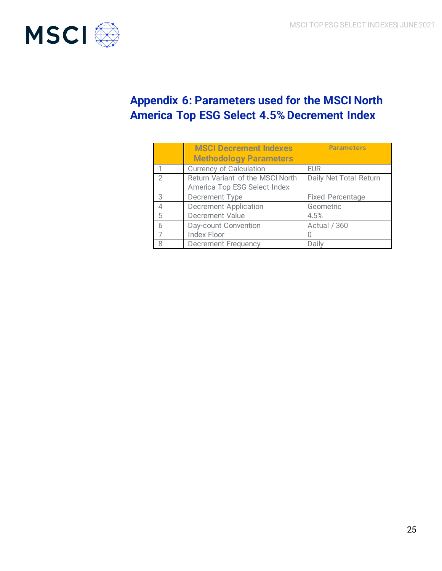

# **Appendix 6: Parameters used for the MSCI North America Top ESG Select 4.5% Decrement Index**

|               | <b>MSCI Decrement Indexes</b><br><b>Methodology Parameters</b>   | <b>Parameters</b>       |
|---------------|------------------------------------------------------------------|-------------------------|
|               | <b>Currency of Calculation</b>                                   | <b>EUR</b>              |
| $\mathcal{D}$ | Return Variant of the MSCI North<br>America Top ESG Select Index | Daily Net Total Return  |
| 3             | Decrement Type                                                   | <b>Fixed Percentage</b> |
| 4             | <b>Decrement Application</b>                                     | Geometric               |
| 5             | <b>Decrement Value</b>                                           | 4.5%                    |
| 6             | Day-count Convention                                             | Actual / 360            |
|               | <b>Index Floor</b>                                               |                         |
| 8             | <b>Decrement Frequency</b>                                       | Daily                   |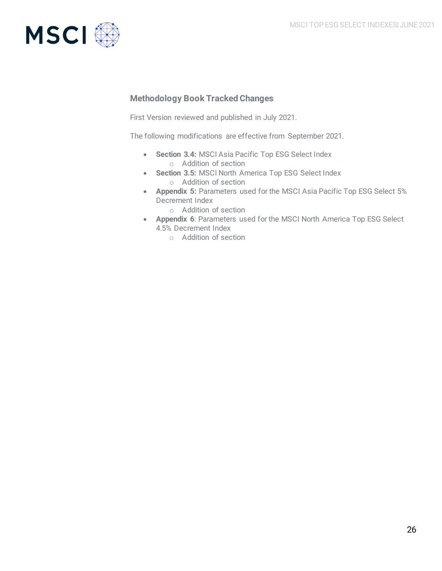

## **Methodology Book Tracked Changes**

First Version reviewed and published in July 2021.

The following modifications are effective from September 2021.

- **Section 3.4:** MSCI Asia Pacific Top ESG Select Index o Addition of section
- **Section 3.5:** MSCI North America Top ESG Select Index o Addition of section
- **Appendix 5:** Parameters used for the MSCI Asia Pacific Top ESG Select 5% Decrement Index
	- o Addition of section
- **Appendix 6**: Parameters used for the MSCI North America Top ESG Select 4.5% Decrement Index
	- o Addition of section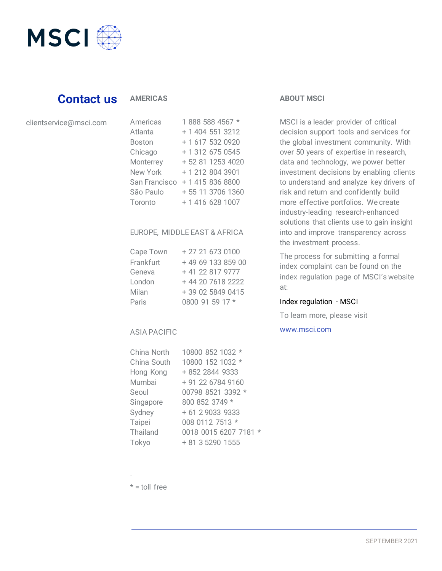

## **Contact us**

## **AMERICAS**

### clientservice@msci.com

| Americas      | 1888 588 4567 *   |
|---------------|-------------------|
| Atlanta       | + 1 404 551 3212  |
| <b>Boston</b> | + 1 617 532 0920  |
| Chicago       | + 1 312 675 0545  |
| Monterrey     | + 52 81 1253 4020 |
| New York      | + 1 212 804 3901  |
| San Francisco | + 1 415 836 8800  |
| São Paulo     | + 55 11 3706 1360 |
| Toronto       | + 1 416 628 1007  |

#### EUROPE, MIDDLE EAST & AFRICA

| Cape Town | + 27 21 673 0100  |
|-----------|-------------------|
| Frankfurt | +49 69 133 859 00 |
| Geneva    | + 41 22 817 9777  |
| London    | + 44 20 7618 2222 |
| Milan     | + 39 02 5849 0415 |
| Paris     | 0800 91 59 17 *   |

### ASIA PACIFIC

| 10800 852 1032 *               |
|--------------------------------|
| 10800 152 1032 *               |
| + 852 2844 9333                |
| + 91 22 6784 9160              |
| 00798 8521 3392 *              |
| 800 852 3749 *                 |
| + 61 2 9033 9333               |
| 008 0112 7513 *                |
| 0018 0015 6207 7181<br>$\star$ |
| + 81 3 5290 1555               |
|                                |

## **ABOUT MSCI**

MSCI is a leader provider of critical decision support tools and services for the global investment community. With over 50 years of expertise in research, data and technology, we power better investment decisions by enabling clients to understand and analyze key drivers of risk and return and confidently build more effective portfolios. We create industry-leading research-enhanced solutions that clients use to gain insight into and improve transparency across the investment process.

The process for submitting a formal index complaint can be found on the index regulation page of MSCI's website at:

## [Index regulation -](https://www.msci.com/index-regulation) MSCI

To learn more, please visit

## [www.msci.com](http://www.msci.com/)

 $* =$  toll free

.